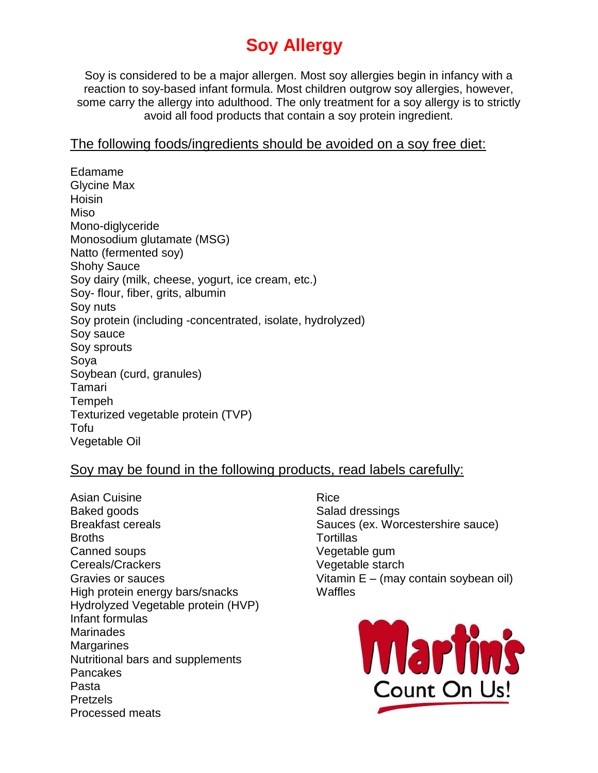# **Soy Allergy**

Soy is considered to be a major allergen. Most soy allergies begin in infancy with a reaction to soy-based infant formula. Most children outgrow soy allergies, however, some carry the allergy into adulthood. The only treatment for a soy allergy is to strictly avoid all food products that contain a soy protein ingredient.

## The following foods/ingredients should be avoided on a soy free diet:

Edamame Glycine Max Hoisin Miso Mono-diglyceride Monosodium glutamate (MSG) Natto (fermented soy) Shohy Sauce Soy dairy (milk, cheese, yogurt, ice cream, etc.) Soy- flour, fiber, grits, albumin Soy nuts Soy protein (including -concentrated, isolate, hydrolyzed) Soy sauce Soy sprouts Soya Soybean (curd, granules) Tamari **Tempeh** Texturized vegetable protein (TVP) Tofu Vegetable Oil

# Soy may be found in the following products, read labels carefully:

Asian Cuisine Baked goods Breakfast cereals **Broths** Canned soups Cereals/Crackers Gravies or sauces High protein energy bars/snacks Hydrolyzed Vegetable protein (HVP) Infant formulas **Marinades Margarines** Nutritional bars and supplements Pancakes Pasta Pretzels Processed meats

Rice Salad dressings Sauces (ex. Worcestershire sauce) **Tortillas** Vegetable gum Vegetable starch Vitamin E – (may contain soybean oil) **Waffles**